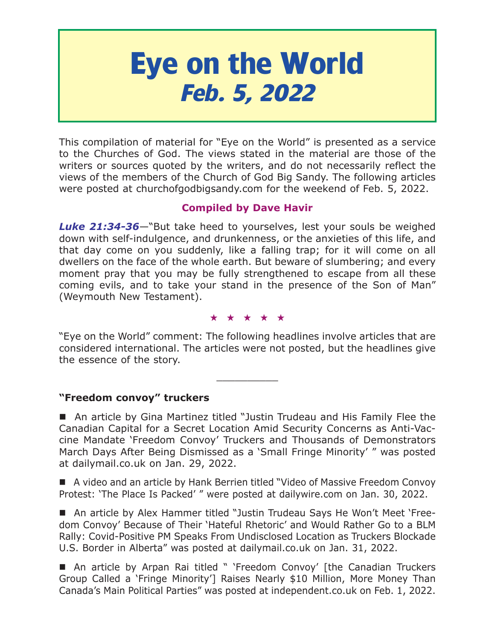# **Eye on the World Feb. 5, 2022**

This compilation of material for "Eye on the World" is presented as a service to the Churches of God. The views stated in the material are those of the writers or sources quoted by the writers, and do not necessarily reflect the views of the members of the Church of God Big Sandy. The following articles were posted at churchofgodbigsandy.com for the weekend of Feb. 5, 2022.

# **Compiled by Dave Havir**

*Luke 21:34-36*—"But take heed to yourselves, lest your souls be weighed down with self-indulgence, and drunkenness, or the anxieties of this life, and that day come on you suddenly, like a falling trap; for it will come on all dwellers on the face of the whole earth. But beware of slumbering; and every moment pray that you may be fully strengthened to escape from all these coming evils, and to take your stand in the presence of the Son of Man" (Weymouth New Testament).

#### ★★★★★

"Eye on the World" comment: The following headlines involve articles that are considered international. The articles were not posted, but the headlines give the essence of the story.

 $\overline{\phantom{a}}$  , where  $\overline{\phantom{a}}$ 

## **"Freedom convoy" truckers**

 An article by Gina Martinez titled "Justin Trudeau and His Family Flee the Canadian Capital for a Secret Location Amid Security Concerns as Anti-Vaccine Mandate 'Freedom Convoy' Truckers and Thousands of Demonstrators March Days After Being Dismissed as a 'Small Fringe Minority' " was posted at dailymail.co.uk on Jan. 29, 2022.

■ A video and an article by Hank Berrien titled "Video of Massive Freedom Convoy Protest: 'The Place Is Packed' " were posted at dailywire.com on Jan. 30, 2022.

 An article by Alex Hammer titled "Justin Trudeau Says He Won't Meet 'Freedom Convoy' Because of Their 'Hateful Rhetoric' and Would Rather Go to a BLM Rally: Covid-Positive PM Speaks From Undisclosed Location as Truckers Blockade U.S. Border in Alberta" was posted at dailymail.co.uk on Jan. 31, 2022.

■ An article by Arpan Rai titled " 'Freedom Convoy' [the Canadian Truckers Group Called a 'Fringe Minority'] Raises Nearly \$10 Million, More Money Than Canada's Main Political Parties" was posted at independent.co.uk on Feb. 1, 2022.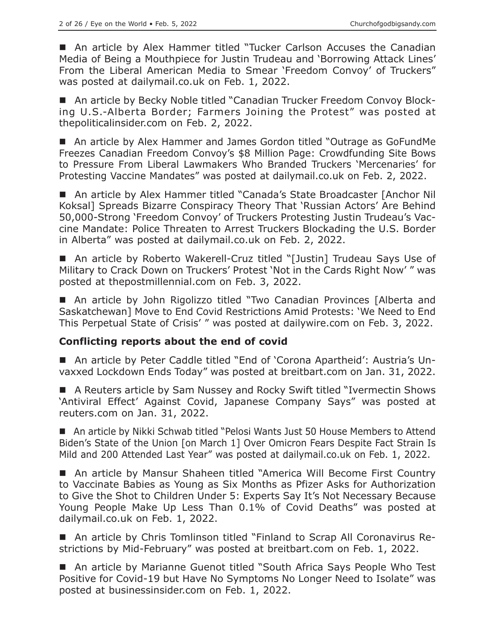■ An article by Alex Hammer titled "Tucker Carlson Accuses the Canadian Media of Being a Mouthpiece for Justin Trudeau and 'Borrowing Attack Lines' From the Liberal American Media to Smear 'Freedom Convoy' of Truckers" was posted at dailymail.co.uk on Feb. 1, 2022.

■ An article by Becky Noble titled "Canadian Trucker Freedom Convoy Blocking U.S.-Alberta Border; Farmers Joining the Protest" was posted at thepoliticalinsider.com on Feb. 2, 2022.

■ An article by Alex Hammer and James Gordon titled "Outrage as GoFundMe Freezes Canadian Freedom Convoy's \$8 Million Page: Crowdfunding Site Bows to Pressure From Liberal Lawmakers Who Branded Truckers 'Mercenaries' for Protesting Vaccine Mandates" was posted at dailymail.co.uk on Feb. 2, 2022.

■ An article by Alex Hammer titled "Canada's State Broadcaster [Anchor Nil Koksal] Spreads Bizarre Conspiracy Theory That 'Russian Actors' Are Behind 50,000-Strong 'Freedom Convoy' of Truckers Protesting Justin Trudeau's Vaccine Mandate: Police Threaten to Arrest Truckers Blockading the U.S. Border in Alberta" was posted at dailymail.co.uk on Feb. 2, 2022.

■ An article by Roberto Wakerell-Cruz titled "[Justin] Trudeau Says Use of Military to Crack Down on Truckers' Protest 'Not in the Cards Right Now' " was posted at thepostmillennial.com on Feb. 3, 2022.

■ An article by John Rigolizzo titled "Two Canadian Provinces [Alberta and Saskatchewan] Move to End Covid Restrictions Amid Protests: 'We Need to End This Perpetual State of Crisis' " was posted at dailywire.com on Feb. 3, 2022.

## **Conflicting reports about the end of covid**

 An article by Peter Caddle titled "End of 'Corona Apartheid': Austria's Unvaxxed Lockdown Ends Today" was posted at breitbart.com on Jan. 31, 2022.

■ A Reuters article by Sam Nussey and Rocky Swift titled "Ivermectin Shows 'Antiviral Effect' Against Covid, Japanese Company Says" was posted at reuters.com on Jan. 31, 2022.

■ An article by Nikki Schwab titled "Pelosi Wants Just 50 House Members to Attend Biden's State of the Union [on March 1] Over Omicron Fears Despite Fact Strain Is Mild and 200 Attended Last Year" was posted at dailymail.co.uk on Feb. 1, 2022.

■ An article by Mansur Shaheen titled "America Will Become First Country to Vaccinate Babies as Young as Six Months as Pfizer Asks for Authorization to Give the Shot to Children Under 5: Experts Say It's Not Necessary Because Young People Make Up Less Than 0.1% of Covid Deaths" was posted at dailymail.co.uk on Feb. 1, 2022.

 An article by Chris Tomlinson titled "Finland to Scrap All Coronavirus Restrictions by Mid-February" was posted at breitbart.com on Feb. 1, 2022.

■ An article by Marianne Guenot titled "South Africa Says People Who Test Positive for Covid-19 but Have No Symptoms No Longer Need to Isolate" was posted at businessinsider.com on Feb. 1, 2022.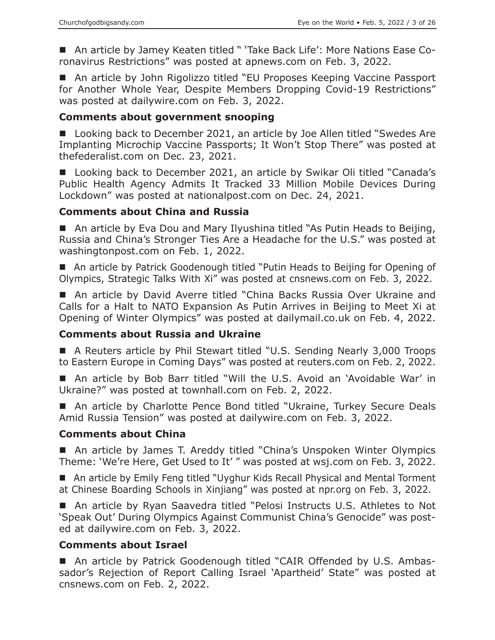■ An article by Jamey Keaten titled " 'Take Back Life': More Nations Ease Coronavirus Restrictions" was posted at apnews.com on Feb. 3, 2022.

■ An article by John Rigolizzo titled "EU Proposes Keeping Vaccine Passport for Another Whole Year, Despite Members Dropping Covid-19 Restrictions" was posted at dailywire.com on Feb. 3, 2022.

#### **Comments about government snooping**

■ Looking back to December 2021, an article by Joe Allen titled "Swedes Are Implanting Microchip Vaccine Passports; It Won't Stop There" was posted at thefederalist.com on Dec. 23, 2021.

■ Looking back to December 2021, an article by Swikar Oli titled "Canada's Public Health Agency Admits It Tracked 33 Million Mobile Devices During Lockdown" was posted at nationalpost.com on Dec. 24, 2021.

#### **Comments about China and Russia**

■ An article by Eva Dou and Mary Ilyushina titled "As Putin Heads to Beijing, Russia and China's Stronger Ties Are a Headache for the U.S." was posted at washingtonpost.com on Feb. 1, 2022.

■ An article by Patrick Goodenough titled "Putin Heads to Beijing for Opening of Olympics, Strategic Talks With Xi" was posted at cnsnews.com on Feb. 3, 2022.

■ An article by David Averre titled "China Backs Russia Over Ukraine and Calls for a Halt to NATO Expansion As Putin Arrives in Beijing to Meet Xi at Opening of Winter Olympics" was posted at dailymail.co.uk on Feb. 4, 2022.

## **Comments about Russia and Ukraine**

■ A Reuters article by Phil Stewart titled "U.S. Sending Nearly 3,000 Troops to Eastern Europe in Coming Days" was posted at reuters.com on Feb. 2, 2022.

 An article by Bob Barr titled "Will the U.S. Avoid an 'Avoidable War' in Ukraine?" was posted at townhall.com on Feb. 2, 2022.

■ An article by Charlotte Pence Bond titled "Ukraine, Turkey Secure Deals Amid Russia Tension" was posted at dailywire.com on Feb. 3, 2022.

#### **Comments about China**

■ An article by James T. Areddy titled "China's Unspoken Winter Olympics Theme: 'We're Here, Get Used to It' " was posted at wsj.com on Feb. 3, 2022.

■ An article by Emily Feng titled "Uyghur Kids Recall Physical and Mental Torment at Chinese Boarding Schools in Xinjiang" was posted at npr.org on Feb. 3, 2022.

■ An article by Ryan Saavedra titled "Pelosi Instructs U.S. Athletes to Not 'Speak Out' During Olympics Against Communist China's Genocide" was posted at dailywire.com on Feb. 3, 2022.

#### **Comments about Israel**

■ An article by Patrick Goodenough titled "CAIR Offended by U.S. Ambassador's Rejection of Report Calling Israel 'Apartheid' State" was posted at cnsnews.com on Feb. 2, 2022.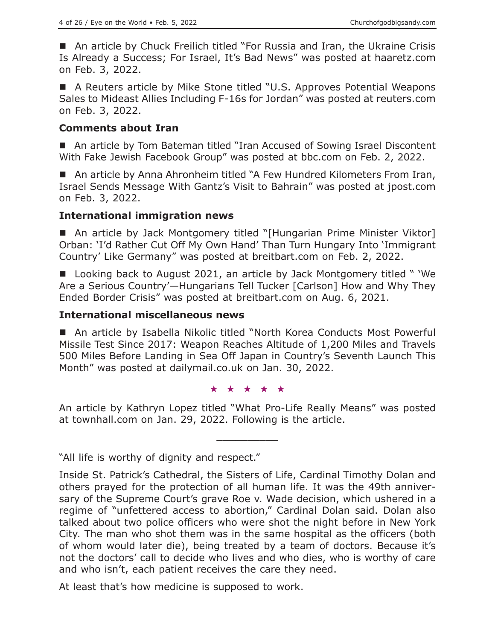■ An article by Chuck Freilich titled "For Russia and Iran, the Ukraine Crisis Is Already a Success; For Israel, It's Bad News" was posted at haaretz.com on Feb. 3, 2022.

■ A Reuters article by Mike Stone titled "U.S. Approves Potential Weapons Sales to Mideast Allies Including F-16s for Jordan" was posted at reuters.com on Feb. 3, 2022.

#### **Comments about Iran**

■ An article by Tom Bateman titled "Iran Accused of Sowing Israel Discontent With Fake Jewish Facebook Group" was posted at bbc.com on Feb. 2, 2022.

■ An article by Anna Ahronheim titled "A Few Hundred Kilometers From Iran, Israel Sends Message With Gantz's Visit to Bahrain" was posted at jpost.com on Feb. 3, 2022.

#### **International immigration news**

■ An article by Jack Montgomery titled "[Hungarian Prime Minister Viktor] Orban: 'I'd Rather Cut Off My Own Hand' Than Turn Hungary Into 'Immigrant Country' Like Germany" was posted at breitbart.com on Feb. 2, 2022.

■ Looking back to August 2021, an article by Jack Montgomery titled " 'We Are a Serious Country'—Hungarians Tell Tucker [Carlson] How and Why They Ended Border Crisis" was posted at breitbart.com on Aug. 6, 2021.

#### **International miscellaneous news**

■ An article by Isabella Nikolic titled "North Korea Conducts Most Powerful Missile Test Since 2017: Weapon Reaches Altitude of 1,200 Miles and Travels 500 Miles Before Landing in Sea Off Japan in Country's Seventh Launch This Month" was posted at dailymail.co.uk on Jan. 30, 2022.

★★★★★

An article by Kathryn Lopez titled "What Pro-Life Really Means" was posted at townhall.com on Jan. 29, 2022. Following is the article.

 $\overline{\phantom{a}}$  , where  $\overline{\phantom{a}}$ 

"All life is worthy of dignity and respect."

At least that's how medicine is supposed to work.

Inside St. Patrick's Cathedral, the Sisters of Life, Cardinal Timothy Dolan and others prayed for the protection of all human life. It was the 49th anniversary of the Supreme Court's grave Roe v. Wade decision, which ushered in a regime of "unfettered access to abortion," Cardinal Dolan said. Dolan also talked about two police officers who were shot the night before in New York City. The man who shot them was in the same hospital as the officers (both of whom would later die), being treated by a team of doctors. Because it's not the doctors' call to decide who lives and who dies, who is worthy of care and who isn't, each patient receives the care they need.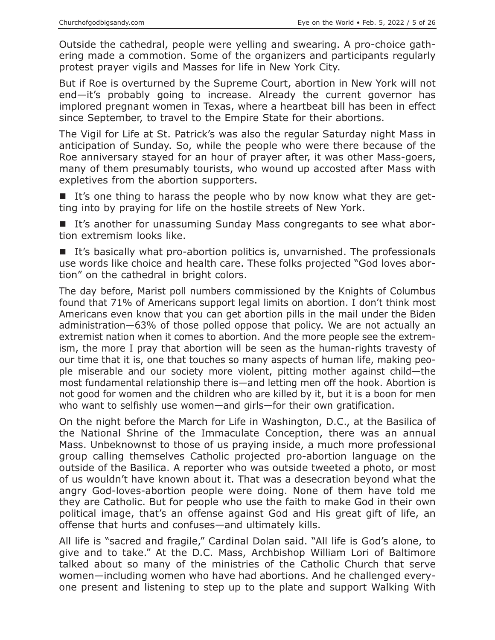Outside the cathedral, people were yelling and swearing. A pro-choice gathering made a commotion. Some of the organizers and participants regularly protest prayer vigils and Masses for life in New York City.

But if Roe is overturned by the Supreme Court, abortion in New York will not end—it's probably going to increase. Already the current governor has implored pregnant women in Texas, where a heartbeat bill has been in effect since September, to travel to the Empire State for their abortions.

The Vigil for Life at St. Patrick's was also the regular Saturday night Mass in anticipation of Sunday. So, while the people who were there because of the Roe anniversary stayed for an hour of prayer after, it was other Mass-goers, many of them presumably tourists, who wound up accosted after Mass with expletives from the abortion supporters.

It's one thing to harass the people who by now know what they are getting into by praying for life on the hostile streets of New York.

■ It's another for unassuming Sunday Mass congregants to see what abortion extremism looks like.

It's basically what pro-abortion politics is, unvarnished. The professionals use words like choice and health care. These folks projected "God loves abortion" on the cathedral in bright colors.

The day before, Marist poll numbers commissioned by the Knights of Columbus found that 71% of Americans support legal limits on abortion. I don't think most Americans even know that you can get abortion pills in the mail under the Biden administration—63% of those polled oppose that policy. We are not actually an extremist nation when it comes to abortion. And the more people see the extremism, the more I pray that abortion will be seen as the human-rights travesty of our time that it is, one that touches so many aspects of human life, making people miserable and our society more violent, pitting mother against child—the most fundamental relationship there is—and letting men off the hook. Abortion is not good for women and the children who are killed by it, but it is a boon for men who want to selfishly use women—and girls—for their own gratification.

On the night before the March for Life in Washington, D.C., at the Basilica of the National Shrine of the Immaculate Conception, there was an annual Mass. Unbeknownst to those of us praying inside, a much more professional group calling themselves Catholic projected pro-abortion language on the outside of the Basilica. A reporter who was outside tweeted a photo, or most of us wouldn't have known about it. That was a desecration beyond what the angry God-loves-abortion people were doing. None of them have told me they are Catholic. But for people who use the faith to make God in their own political image, that's an offense against God and His great gift of life, an offense that hurts and confuses—and ultimately kills.

All life is "sacred and fragile," Cardinal Dolan said. "All life is God's alone, to give and to take." At the D.C. Mass, Archbishop William Lori of Baltimore talked about so many of the ministries of the Catholic Church that serve women—including women who have had abortions. And he challenged everyone present and listening to step up to the plate and support Walking With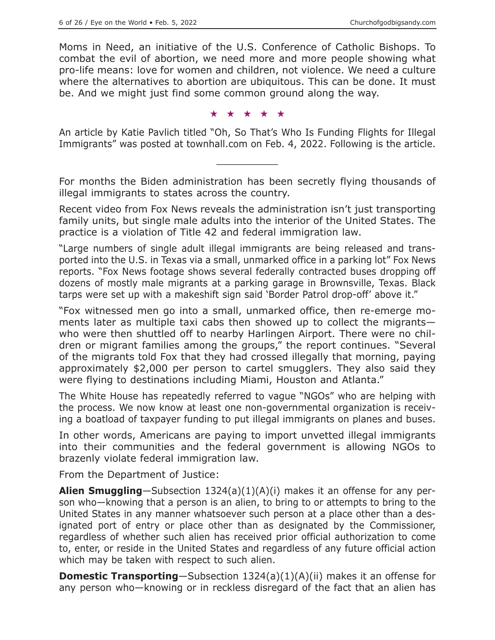Moms in Need, an initiative of the U.S. Conference of Catholic Bishops. To combat the evil of abortion, we need more and more people showing what pro-life means: love for women and children, not violence. We need a culture where the alternatives to abortion are ubiquitous. This can be done. It must be. And we might just find some common ground along the way.

★★★★★

An article by Katie Pavlich titled "Oh, So That's Who Is Funding Flights for Illegal Immigrants" was posted at townhall.com on Feb. 4, 2022. Following is the article.

\_\_\_\_\_\_\_\_\_\_

For months the Biden administration has been secretly flying thousands of illegal immigrants to states across the country.

Recent video from Fox News reveals the administration isn't just transporting family units, but single male adults into the interior of the United States. The practice is a violation of Title 42 and federal immigration law.

"Large numbers of single adult illegal immigrants are being released and transported into the U.S. in Texas via a small, unmarked office in a parking lot" Fox News reports. "Fox News footage shows several federally contracted buses dropping off dozens of mostly male migrants at a parking garage in Brownsville, Texas. Black tarps were set up with a makeshift sign said 'Border Patrol drop-off' above it."

"Fox witnessed men go into a small, unmarked office, then re-emerge moments later as multiple taxi cabs then showed up to collect the migrants who were then shuttled off to nearby Harlingen Airport. There were no children or migrant families among the groups," the report continues. "Several of the migrants told Fox that they had crossed illegally that morning, paying approximately \$2,000 per person to cartel smugglers. They also said they were flying to destinations including Miami, Houston and Atlanta."

The White House has repeatedly referred to vague "NGOs" who are helping with the process. We now know at least one non-governmental organization is receiving a boatload of taxpayer funding to put illegal immigrants on planes and buses.

In other words, Americans are paying to import unvetted illegal immigrants into their communities and the federal government is allowing NGOs to brazenly violate federal immigration law.

From the Department of Justice:

**Alien Smuggling**—Subsection 1324(a)(1)(A)(i) makes it an offense for any person who—knowing that a person is an alien, to bring to or attempts to bring to the United States in any manner whatsoever such person at a place other than a designated port of entry or place other than as designated by the Commissioner, regardless of whether such alien has received prior official authorization to come to, enter, or reside in the United States and regardless of any future official action which may be taken with respect to such alien.

**Domestic Transporting**—Subsection 1324(a)(1)(A)(ii) makes it an offense for any person who—knowing or in reckless disregard of the fact that an alien has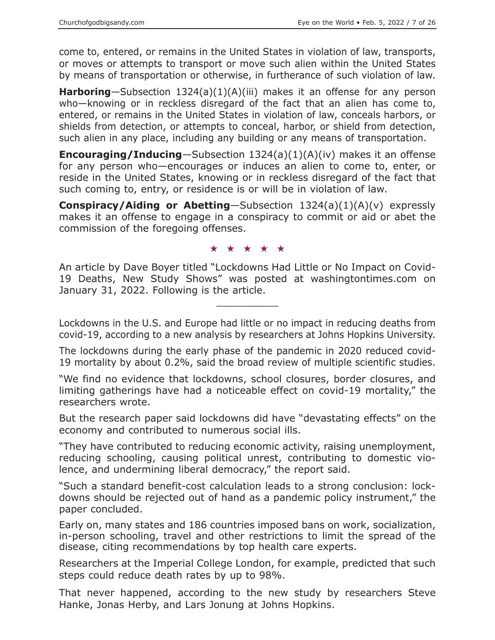come to, entered, or remains in the United States in violation of law, transports, or moves or attempts to transport or move such alien within the United States by means of transportation or otherwise, in furtherance of such violation of law.

**Harboring**—Subsection 1324(a)(1)(A)(iii) makes it an offense for any person who—knowing or in reckless disregard of the fact that an alien has come to, entered, or remains in the United States in violation of law, conceals harbors, or shields from detection, or attempts to conceal, harbor, or shield from detection, such alien in any place, including any building or any means of transportation.

**Encouraging/Inducing**—Subsection 1324(a)(1)(A)(iv) makes it an offense for any person who—encourages or induces an alien to come to, enter, or reside in the United States, knowing or in reckless disregard of the fact that such coming to, entry, or residence is or will be in violation of law.

**Conspiracy/Aiding or Abetting**—Subsection 1324(a)(1)(A)(v) expressly makes it an offense to engage in a conspiracy to commit or aid or abet the commission of the foregoing offenses.

#### ★★★★★

An article by Dave Boyer titled "Lockdowns Had Little or No Impact on Covid-19 Deaths, New Study Shows" was posted at washingtontimes.com on January 31, 2022. Following is the article.

 $\overline{\phantom{a}}$  , where  $\overline{\phantom{a}}$  , where  $\overline{\phantom{a}}$ 

Lockdowns in the U.S. and Europe had little or no impact in reducing deaths from covid-19, according to a new analysis by researchers at Johns Hopkins University.

The lockdowns during the early phase of the pandemic in 2020 reduced covid-19 mortality by about 0.2%, said the broad review of multiple scientific studies.

"We find no evidence that lockdowns, school closures, border closures, and limiting gatherings have had a noticeable effect on covid-19 mortality," the researchers wrote.

But the research paper said lockdowns did have "devastating effects" on the economy and contributed to numerous social ills.

"They have contributed to reducing economic activity, raising unemployment, reducing schooling, causing political unrest, contributing to domestic violence, and undermining liberal democracy," the report said.

"Such a standard benefit-cost calculation leads to a strong conclusion: lockdowns should be rejected out of hand as a pandemic policy instrument," the paper concluded.

Early on, many states and 186 countries imposed bans on work, socialization, in-person schooling, travel and other restrictions to limit the spread of the disease, citing recommendations by top health care experts.

Researchers at the Imperial College London, for example, predicted that such steps could reduce death rates by up to 98%.

That never happened, according to the new study by researchers Steve Hanke, Jonas Herby, and Lars Jonung at Johns Hopkins.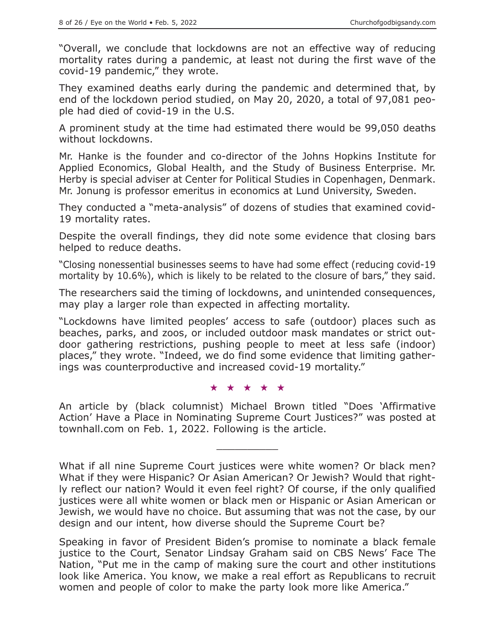"Overall, we conclude that lockdowns are not an effective way of reducing mortality rates during a pandemic, at least not during the first wave of the covid-19 pandemic," they wrote.

They examined deaths early during the pandemic and determined that, by end of the lockdown period studied, on May 20, 2020, a total of 97,081 people had died of covid-19 in the U.S.

A prominent study at the time had estimated there would be 99,050 deaths without lockdowns.

Mr. Hanke is the founder and co-director of the Johns Hopkins Institute for Applied Economics, Global Health, and the Study of Business Enterprise. Mr. Herby is special adviser at Center for Political Studies in Copenhagen, Denmark. Mr. Jonung is professor emeritus in economics at Lund University, Sweden.

They conducted a "meta-analysis" of dozens of studies that examined covid-19 mortality rates.

Despite the overall findings, they did note some evidence that closing bars helped to reduce deaths.

"Closing nonessential businesses seems to have had some effect (reducing covid-19 mortality by 10.6%), which is likely to be related to the closure of bars," they said.

The researchers said the timing of lockdowns, and unintended consequences, may play a larger role than expected in affecting mortality.

"Lockdowns have limited peoples' access to safe (outdoor) places such as beaches, parks, and zoos, or included outdoor mask mandates or strict outdoor gathering restrictions, pushing people to meet at less safe (indoor) places," they wrote. "Indeed, we do find some evidence that limiting gatherings was counterproductive and increased covid-19 mortality."

★★★★★

An article by (black columnist) Michael Brown titled "Does 'Affirmative Action' Have a Place in Nominating Supreme Court Justices?" was posted at townhall.com on Feb. 1, 2022. Following is the article.

 $\overline{\phantom{a}}$  , where  $\overline{\phantom{a}}$  , where  $\overline{\phantom{a}}$ 

What if all nine Supreme Court justices were white women? Or black men? What if they were Hispanic? Or Asian American? Or Jewish? Would that rightly reflect our nation? Would it even feel right? Of course, if the only qualified justices were all white women or black men or Hispanic or Asian American or Jewish, we would have no choice. But assuming that was not the case, by our design and our intent, how diverse should the Supreme Court be?

Speaking in favor of President Biden's promise to nominate a black female justice to the Court, Senator Lindsay Graham said on CBS News' Face The Nation, "Put me in the camp of making sure the court and other institutions look like America. You know, we make a real effort as Republicans to recruit women and people of color to make the party look more like America."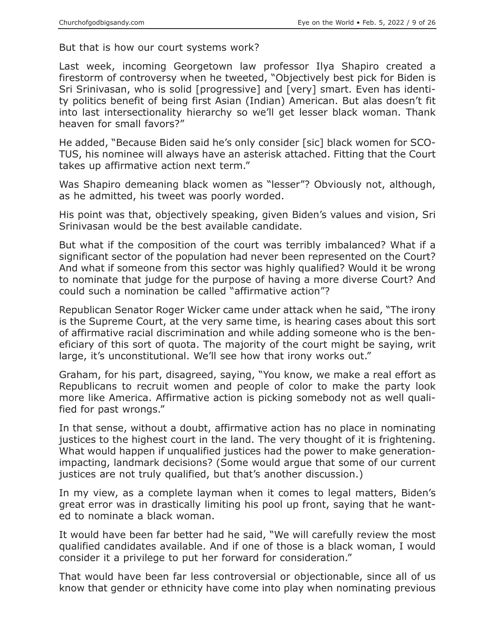But that is how our court systems work?

Last week, incoming Georgetown law professor Ilya Shapiro created a firestorm of controversy when he tweeted, "Objectively best pick for Biden is Sri Srinivasan, who is solid [progressive] and [very] smart. Even has identity politics benefit of being first Asian (Indian) American. But alas doesn't fit into last intersectionality hierarchy so we'll get lesser black woman. Thank heaven for small favors?"

He added, "Because Biden said he's only consider [sic] black women for SCO-TUS, his nominee will always have an asterisk attached. Fitting that the Court takes up affirmative action next term."

Was Shapiro demeaning black women as "lesser"? Obviously not, although, as he admitted, his tweet was poorly worded.

His point was that, objectively speaking, given Biden's values and vision, Sri Srinivasan would be the best available candidate.

But what if the composition of the court was terribly imbalanced? What if a significant sector of the population had never been represented on the Court? And what if someone from this sector was highly qualified? Would it be wrong to nominate that judge for the purpose of having a more diverse Court? And could such a nomination be called "affirmative action"?

Republican Senator Roger Wicker came under attack when he said, "The irony is the Supreme Court, at the very same time, is hearing cases about this sort of affirmative racial discrimination and while adding someone who is the beneficiary of this sort of quota. The majority of the court might be saying, writ large, it's unconstitutional. We'll see how that irony works out."

Graham, for his part, disagreed, saying, "You know, we make a real effort as Republicans to recruit women and people of color to make the party look more like America. Affirmative action is picking somebody not as well qualified for past wrongs."

In that sense, without a doubt, affirmative action has no place in nominating justices to the highest court in the land. The very thought of it is frightening. What would happen if unqualified justices had the power to make generationimpacting, landmark decisions? (Some would argue that some of our current justices are not truly qualified, but that's another discussion.)

In my view, as a complete layman when it comes to legal matters, Biden's great error was in drastically limiting his pool up front, saying that he wanted to nominate a black woman.

It would have been far better had he said, "We will carefully review the most qualified candidates available. And if one of those is a black woman, I would consider it a privilege to put her forward for consideration."

That would have been far less controversial or objectionable, since all of us know that gender or ethnicity have come into play when nominating previous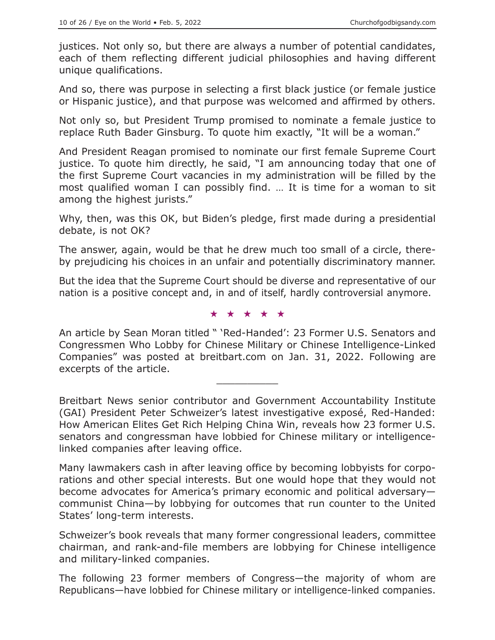justices. Not only so, but there are always a number of potential candidates, each of them reflecting different judicial philosophies and having different unique qualifications.

And so, there was purpose in selecting a first black justice (or female justice or Hispanic justice), and that purpose was welcomed and affirmed by others.

Not only so, but President Trump promised to nominate a female justice to replace Ruth Bader Ginsburg. To quote him exactly, "It will be a woman."

And President Reagan promised to nominate our first female Supreme Court justice. To quote him directly, he said, "I am announcing today that one of the first Supreme Court vacancies in my administration will be filled by the most qualified woman I can possibly find. … It is time for a woman to sit among the highest jurists."

Why, then, was this OK, but Biden's pledge, first made during a presidential debate, is not OK?

The answer, again, would be that he drew much too small of a circle, thereby prejudicing his choices in an unfair and potentially discriminatory manner.

But the idea that the Supreme Court should be diverse and representative of our nation is a positive concept and, in and of itself, hardly controversial anymore.

#### ★★★★★

An article by Sean Moran titled " 'Red-Handed': 23 Former U.S. Senators and Congressmen Who Lobby for Chinese Military or Chinese Intelligence-Linked Companies" was posted at breitbart.com on Jan. 31, 2022. Following are excerpts of the article.

 $\overline{\phantom{a}}$  , where  $\overline{\phantom{a}}$  , where  $\overline{\phantom{a}}$ 

Breitbart News senior contributor and Government Accountability Institute (GAI) President Peter Schweizer's latest investigative exposé, Red-Handed: How American Elites Get Rich Helping China Win, reveals how 23 former U.S. senators and congressman have lobbied for Chinese military or intelligencelinked companies after leaving office.

Many lawmakers cash in after leaving office by becoming lobbyists for corporations and other special interests. But one would hope that they would not become advocates for America's primary economic and political adversary communist China—by lobbying for outcomes that run counter to the United States' long-term interests.

Schweizer's book reveals that many former congressional leaders, committee chairman, and rank-and-file members are lobbying for Chinese intelligence and military-linked companies.

The following 23 former members of Congress—the majority of whom are Republicans—have lobbied for Chinese military or intelligence-linked companies.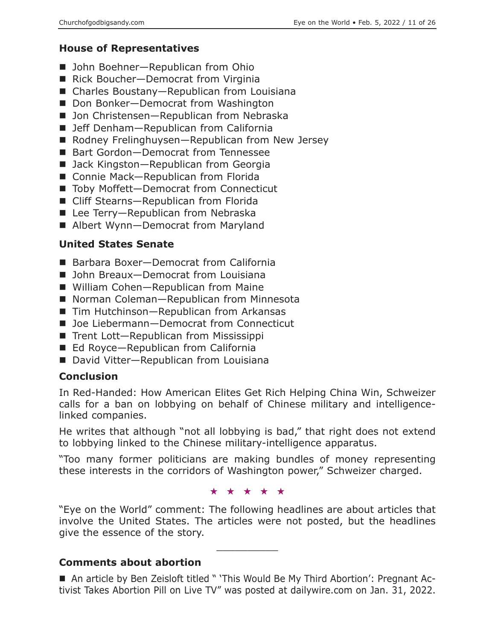# **House of Representatives**

- John Boehner–Republican from Ohio
- Rick Boucher-Democrat from Virginia
- Charles Boustany-Republican from Louisiana
- Don Bonker-Democrat from Washington
- Jon Christensen-Republican from Nebraska
- Jeff Denham-Republican from California
- Rodney Frelinghuysen—Republican from New Jersey
- Bart Gordon-Democrat from Tennessee
- Jack Kingston-Republican from Georgia
- Connie Mack-Republican from Florida
- Toby Moffett-Democrat from Connecticut
- Cliff Stearns-Republican from Florida
- Lee Terry—Republican from Nebraska
- Albert Wynn-Democrat from Maryland

# **United States Senate**

- Barbara Boxer-Democrat from California
- John Breaux-Democrat from Louisiana
- William Cohen-Republican from Maine
- Norman Coleman—Republican from Minnesota
- Tim Hutchinson—Republican from Arkansas
- Joe Liebermann-Democrat from Connecticut
- Trent Lott—Republican from Mississippi
- Ed Royce—Republican from California
- David Vitter-Republican from Louisiana

# **Conclusion**

In Red-Handed: How American Elites Get Rich Helping China Win, Schweizer calls for a ban on lobbying on behalf of Chinese military and intelligencelinked companies.

He writes that although "not all lobbying is bad," that right does not extend to lobbying linked to the Chinese military-intelligence apparatus.

"Too many former politicians are making bundles of money representing these interests in the corridors of Washington power," Schweizer charged.

★★★★★

"Eye on the World" comment: The following headlines are about articles that involve the United States. The articles were not posted, but the headlines give the essence of the story.

 $\overline{\phantom{a}}$  , where  $\overline{\phantom{a}}$  , where  $\overline{\phantom{a}}$ 

# **Comments about abortion**

■ An article by Ben Zeisloft titled " 'This Would Be My Third Abortion': Pregnant Activist Takes Abortion Pill on Live TV" was posted at dailywire.com on Jan. 31, 2022.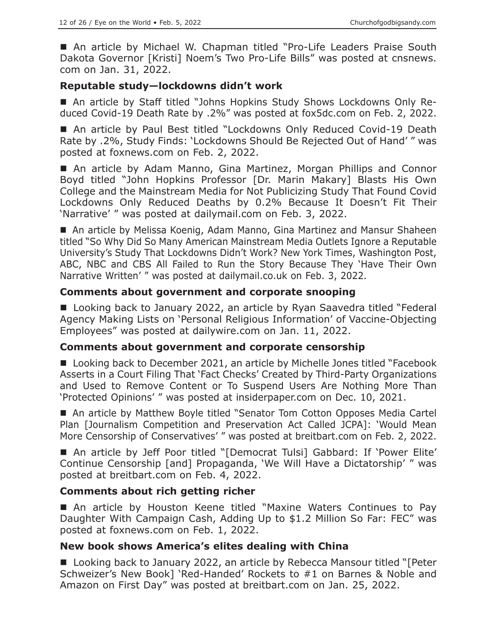■ An article by Michael W. Chapman titled "Pro-Life Leaders Praise South Dakota Governor [Kristi] Noem's Two Pro-Life Bills" was posted at cnsnews. com on Jan. 31, 2022.

## **Reputable study—lockdowns didn't work**

 An article by Staff titled "Johns Hopkins Study Shows Lockdowns Only Reduced Covid-19 Death Rate by .2%" was posted at fox5dc.com on Feb. 2, 2022.

■ An article by Paul Best titled "Lockdowns Only Reduced Covid-19 Death Rate by .2%, Study Finds: 'Lockdowns Should Be Rejected Out of Hand' " was posted at foxnews.com on Feb. 2, 2022.

 An article by Adam Manno, Gina Martinez, Morgan Phillips and Connor Boyd titled "John Hopkins Professor [Dr. Marin Makary] Blasts His Own College and the Mainstream Media for Not Publicizing Study That Found Covid Lockdowns Only Reduced Deaths by 0.2% Because It Doesn't Fit Their 'Narrative' " was posted at dailymail.com on Feb. 3, 2022.

■ An article by Melissa Koenig, Adam Manno, Gina Martinez and Mansur Shaheen titled "So Why Did So Many American Mainstream Media Outlets Ignore a Reputable University's Study That Lockdowns Didn't Work? New York Times, Washington Post, ABC, NBC and CBS All Failed to Run the Story Because They 'Have Their Own Narrative Written' " was posted at dailymail.co.uk on Feb. 3, 2022.

#### **Comments about government and corporate snooping**

■ Looking back to January 2022, an article by Ryan Saavedra titled "Federal Agency Making Lists on 'Personal Religious Information' of Vaccine-Objecting Employees" was posted at dailywire.com on Jan. 11, 2022.

#### **Comments about government and corporate censorship**

■ Looking back to December 2021, an article by Michelle Jones titled "Facebook Asserts in a Court Filing That 'Fact Checks' Created by Third-Party Organizations and Used to Remove Content or To Suspend Users Are Nothing More Than 'Protected Opinions' " was posted at insiderpaper.com on Dec. 10, 2021.

■ An article by Matthew Boyle titled "Senator Tom Cotton Opposes Media Cartel Plan [Journalism Competition and Preservation Act Called JCPA]: 'Would Mean More Censorship of Conservatives' " was posted at breitbart.com on Feb. 2, 2022.

■ An article by Jeff Poor titled "[Democrat Tulsi] Gabbard: If 'Power Elite' Continue Censorship [and] Propaganda, 'We Will Have a Dictatorship' " was posted at breitbart.com on Feb. 4, 2022.

## **Comments about rich getting richer**

 An article by Houston Keene titled "Maxine Waters Continues to Pay Daughter With Campaign Cash, Adding Up to \$1.2 Million So Far: FEC" was posted at foxnews.com on Feb. 1, 2022.

#### **New book shows America's elites dealing with China**

■ Looking back to January 2022, an article by Rebecca Mansour titled "[Peter Schweizer's New Book] 'Red-Handed' Rockets to #1 on Barnes & Noble and Amazon on First Day" was posted at breitbart.com on Jan. 25, 2022.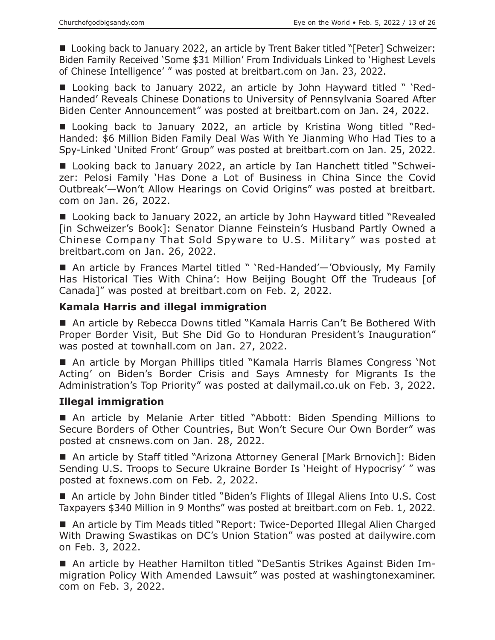■ Looking back to January 2022, an article by Trent Baker titled "[Peter] Schweizer: Biden Family Received 'Some \$31 Million' From Individuals Linked to 'Highest Levels of Chinese Intelligence' " was posted at breitbart.com on Jan. 23, 2022.

■ Looking back to January 2022, an article by John Hayward titled " 'Red-Handed' Reveals Chinese Donations to University of Pennsylvania Soared After Biden Center Announcement" was posted at breitbart.com on Jan. 24, 2022.

■ Looking back to January 2022, an article by Kristina Wong titled "Red-Handed: \$6 Million Biden Family Deal Was With Ye Jianming Who Had Ties to a Spy-Linked 'United Front' Group" was posted at breitbart.com on Jan. 25, 2022.

■ Looking back to January 2022, an article by Ian Hanchett titled "Schweizer: Pelosi Family 'Has Done a Lot of Business in China Since the Covid Outbreak'—Won't Allow Hearings on Covid Origins" was posted at breitbart. com on Jan. 26, 2022.

■ Looking back to January 2022, an article by John Hayward titled "Revealed [in Schweizer's Book]: Senator Dianne Feinstein's Husband Partly Owned a Chinese Company That Sold Spyware to U.S. Military" was posted at breitbart.com on Jan. 26, 2022.

■ An article by Frances Martel titled " 'Red-Handed'—'Obviously, My Family Has Historical Ties With China': How Beijing Bought Off the Trudeaus [of Canada]" was posted at breitbart.com on Feb. 2, 2022.

## **Kamala Harris and illegal immigration**

■ An article by Rebecca Downs titled "Kamala Harris Can't Be Bothered With Proper Border Visit, But She Did Go to Honduran President's Inauguration" was posted at townhall.com on Jan. 27, 2022.

■ An article by Morgan Phillips titled "Kamala Harris Blames Congress 'Not Acting' on Biden's Border Crisis and Says Amnesty for Migrants Is the Administration's Top Priority" was posted at dailymail.co.uk on Feb. 3, 2022.

#### **Illegal immigration**

 An article by Melanie Arter titled "Abbott: Biden Spending Millions to Secure Borders of Other Countries, But Won't Secure Our Own Border" was posted at cnsnews.com on Jan. 28, 2022.

■ An article by Staff titled "Arizona Attorney General [Mark Brnovich]: Biden Sending U.S. Troops to Secure Ukraine Border Is 'Height of Hypocrisy' " was posted at foxnews.com on Feb. 2, 2022.

■ An article by John Binder titled "Biden's Flights of Illegal Aliens Into U.S. Cost Taxpayers \$340 Million in 9 Months" was posted at breitbart.com on Feb. 1, 2022.

■ An article by Tim Meads titled "Report: Twice-Deported Illegal Alien Charged With Drawing Swastikas on DC's Union Station" was posted at dailywire.com on Feb. 3, 2022.

 An article by Heather Hamilton titled "DeSantis Strikes Against Biden Immigration Policy With Amended Lawsuit" was posted at washingtonexaminer. com on Feb. 3, 2022.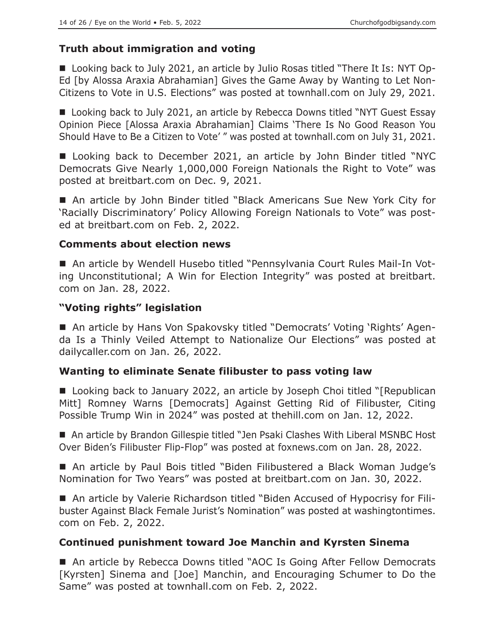# **Truth about immigration and voting**

 Looking back to July 2021, an article by Julio Rosas titled "There It Is: NYT Op-Ed [by Alossa Araxia Abrahamian] Gives the Game Away by Wanting to Let Non-Citizens to Vote in U.S. Elections" was posted at townhall.com on July 29, 2021.

■ Looking back to July 2021, an article by Rebecca Downs titled "NYT Guest Essay Opinion Piece [Alossa Araxia Abrahamian] Claims 'There Is No Good Reason You Should Have to Be a Citizen to Vote' " was posted at townhall.com on July 31, 2021.

■ Looking back to December 2021, an article by John Binder titled "NYC Democrats Give Nearly 1,000,000 Foreign Nationals the Right to Vote" was posted at breitbart.com on Dec. 9, 2021.

■ An article by John Binder titled "Black Americans Sue New York City for 'Racially Discriminatory' Policy Allowing Foreign Nationals to Vote" was posted at breitbart.com on Feb. 2, 2022.

## **Comments about election news**

 An article by Wendell Husebo titled "Pennsylvania Court Rules Mail-In Voting Unconstitutional; A Win for Election Integrity" was posted at breitbart. com on Jan. 28, 2022.

## **"Voting rights" legislation**

■ An article by Hans Von Spakovsky titled "Democrats' Voting 'Rights' Agenda Is a Thinly Veiled Attempt to Nationalize Our Elections" was posted at dailycaller.com on Jan. 26, 2022.

## **Wanting to eliminate Senate filibuster to pass voting law**

■ Looking back to January 2022, an article by Joseph Choi titled "[Republican Mitt] Romney Warns [Democrats] Against Getting Rid of Filibuster, Citing Possible Trump Win in 2024" was posted at thehill.com on Jan. 12, 2022.

■ An article by Brandon Gillespie titled "Jen Psaki Clashes With Liberal MSNBC Host Over Biden's Filibuster Flip-Flop" was posted at foxnews.com on Jan. 28, 2022.

■ An article by Paul Bois titled "Biden Filibustered a Black Woman Judge's Nomination for Two Years" was posted at breitbart.com on Jan. 30, 2022.

■ An article by Valerie Richardson titled "Biden Accused of Hypocrisy for Filibuster Against Black Female Jurist's Nomination" was posted at washingtontimes. com on Feb. 2, 2022.

## **Continued punishment toward Joe Manchin and Kyrsten Sinema**

■ An article by Rebecca Downs titled "AOC Is Going After Fellow Democrats [Kyrsten] Sinema and [Joe] Manchin, and Encouraging Schumer to Do the Same" was posted at townhall.com on Feb. 2, 2022.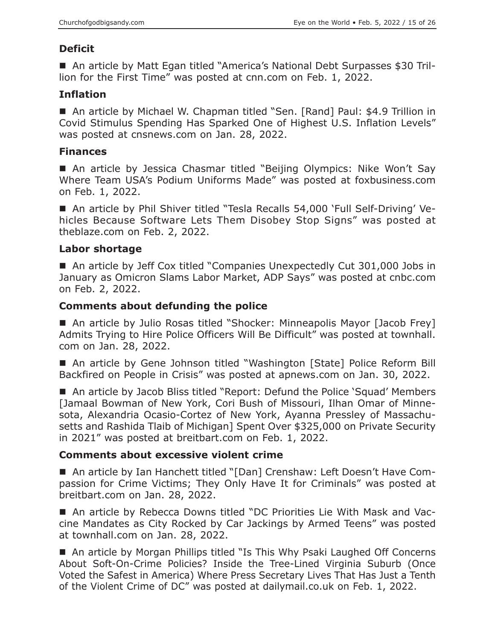# **Deficit**

 An article by Matt Egan titled "America's National Debt Surpasses \$30 Trillion for the First Time" was posted at cnn.com on Feb. 1, 2022.

# **Inflation**

■ An article by Michael W. Chapman titled "Sen. [Rand] Paul: \$4.9 Trillion in Covid Stimulus Spending Has Sparked One of Highest U.S. Inflation Levels" was posted at cnsnews.com on Jan. 28, 2022.

# **Finances**

 An article by Jessica Chasmar titled "Beijing Olympics: Nike Won't Say Where Team USA's Podium Uniforms Made" was posted at foxbusiness.com on Feb. 1, 2022.

 An article by Phil Shiver titled "Tesla Recalls 54,000 'Full Self-Driving' Vehicles Because Software Lets Them Disobey Stop Signs" was posted at theblaze.com on Feb. 2, 2022.

## **Labor shortage**

■ An article by Jeff Cox titled "Companies Unexpectedly Cut 301,000 Jobs in January as Omicron Slams Labor Market, ADP Says" was posted at cnbc.com on Feb. 2, 2022.

# **Comments about defunding the police**

■ An article by Julio Rosas titled "Shocker: Minneapolis Mayor [Jacob Frey] Admits Trying to Hire Police Officers Will Be Difficult" was posted at townhall. com on Jan. 28, 2022.

■ An article by Gene Johnson titled "Washington [State] Police Reform Bill Backfired on People in Crisis" was posted at apnews.com on Jan. 30, 2022.

■ An article by Jacob Bliss titled "Report: Defund the Police 'Squad' Members [Jamaal Bowman of New York, Cori Bush of Missouri, Ilhan Omar of Minnesota, Alexandria Ocasio-Cortez of New York, Ayanna Pressley of Massachusetts and Rashida Tlaib of Michigan] Spent Over \$325,000 on Private Security in 2021" was posted at breitbart.com on Feb. 1, 2022.

## **Comments about excessive violent crime**

■ An article by Ian Hanchett titled "[Dan] Crenshaw: Left Doesn't Have Compassion for Crime Victims; They Only Have It for Criminals" was posted at breitbart.com on Jan. 28, 2022.

 An article by Rebecca Downs titled "DC Priorities Lie With Mask and Vaccine Mandates as City Rocked by Car Jackings by Armed Teens" was posted at townhall.com on Jan. 28, 2022.

■ An article by Morgan Phillips titled "Is This Why Psaki Laughed Off Concerns About Soft-On-Crime Policies? Inside the Tree-Lined Virginia Suburb (Once Voted the Safest in America) Where Press Secretary Lives That Has Just a Tenth of the Violent Crime of DC" was posted at dailymail.co.uk on Feb. 1, 2022.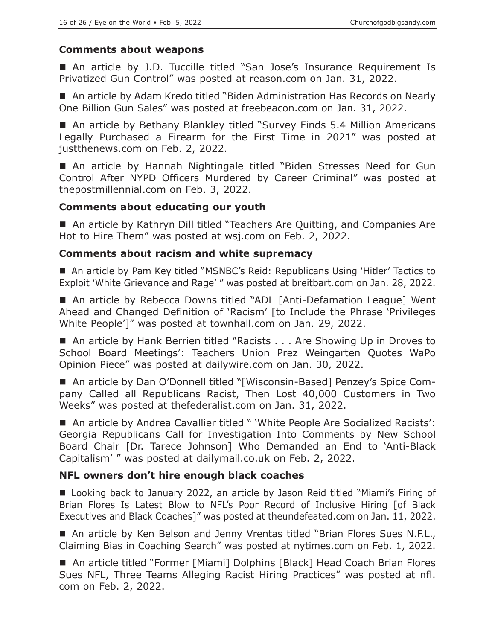## **Comments about weapons**

■ An article by J.D. Tuccille titled "San Jose's Insurance Requirement Is Privatized Gun Control" was posted at reason.com on Jan. 31, 2022.

■ An article by Adam Kredo titled "Biden Administration Has Records on Nearly One Billion Gun Sales" was posted at freebeacon.com on Jan. 31, 2022.

■ An article by Bethany Blankley titled "Survey Finds 5.4 Million Americans Legally Purchased a Firearm for the First Time in 2021" was posted at justthenews.com on Feb. 2, 2022.

■ An article by Hannah Nightingale titled "Biden Stresses Need for Gun Control After NYPD Officers Murdered by Career Criminal" was posted at thepostmillennial.com on Feb. 3, 2022.

## **Comments about educating our youth**

■ An article by Kathryn Dill titled "Teachers Are Quitting, and Companies Are Hot to Hire Them" was posted at wsj.com on Feb. 2, 2022.

## **Comments about racism and white supremacy**

■ An article by Pam Key titled "MSNBC's Reid: Republicans Using 'Hitler' Tactics to Exploit 'White Grievance and Rage' " was posted at breitbart.com on Jan. 28, 2022.

■ An article by Rebecca Downs titled "ADL [Anti-Defamation League] Went Ahead and Changed Definition of 'Racism' [to Include the Phrase 'Privileges White People']" was posted at townhall.com on Jan. 29, 2022.

■ An article by Hank Berrien titled "Racists . . . Are Showing Up in Droves to School Board Meetings': Teachers Union Prez Weingarten Quotes WaPo Opinion Piece" was posted at dailywire.com on Jan. 30, 2022.

■ An article by Dan O'Donnell titled "[Wisconsin-Based] Penzey's Spice Company Called all Republicans Racist, Then Lost 40,000 Customers in Two Weeks" was posted at thefederalist.com on Jan. 31, 2022.

■ An article by Andrea Cavallier titled " 'White People Are Socialized Racists': Georgia Republicans Call for Investigation Into Comments by New School Board Chair [Dr. Tarece Johnson] Who Demanded an End to 'Anti-Black Capitalism' " was posted at dailymail.co.uk on Feb. 2, 2022.

## **NFL owners don't hire enough black coaches**

■ Looking back to January 2022, an article by Jason Reid titled "Miami's Firing of Brian Flores Is Latest Blow to NFL's Poor Record of Inclusive Hiring [of Black Executives and Black Coaches]" was posted at theundefeated.com on Jan. 11, 2022.

■ An article by Ken Belson and Jenny Vrentas titled "Brian Flores Sues N.F.L., Claiming Bias in Coaching Search" was posted at nytimes.com on Feb. 1, 2022.

■ An article titled "Former [Miami] Dolphins [Black] Head Coach Brian Flores Sues NFL, Three Teams Alleging Racist Hiring Practices" was posted at nfl. com on Feb. 2, 2022.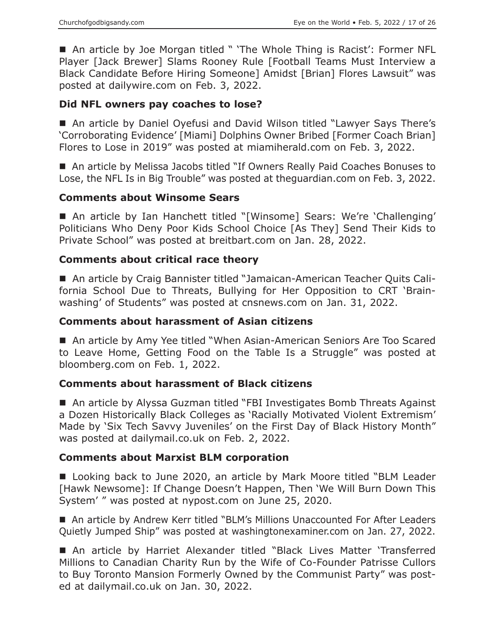■ An article by Joe Morgan titled " 'The Whole Thing is Racist': Former NFL Player [Jack Brewer] Slams Rooney Rule [Football Teams Must Interview a Black Candidate Before Hiring Someone] Amidst [Brian] Flores Lawsuit" was posted at dailywire.com on Feb. 3, 2022.

## **Did NFL owners pay coaches to lose?**

■ An article by Daniel Oyefusi and David Wilson titled "Lawyer Says There's 'Corroborating Evidence' [Miami] Dolphins Owner Bribed [Former Coach Brian] Flores to Lose in 2019" was posted at miamiherald.com on Feb. 3, 2022.

■ An article by Melissa Jacobs titled "If Owners Really Paid Coaches Bonuses to Lose, the NFL Is in Big Trouble" was posted at theguardian.com on Feb. 3, 2022.

## **Comments about Winsome Sears**

■ An article by Ian Hanchett titled "[Winsome] Sears: We're 'Challenging' Politicians Who Deny Poor Kids School Choice [As They] Send Their Kids to Private School" was posted at breitbart.com on Jan. 28, 2022.

## **Comments about critical race theory**

 An article by Craig Bannister titled "Jamaican-American Teacher Quits California School Due to Threats, Bullying for Her Opposition to CRT 'Brainwashing' of Students" was posted at cnsnews.com on Jan. 31, 2022.

## **Comments about harassment of Asian citizens**

■ An article by Amy Yee titled "When Asian-American Seniors Are Too Scared to Leave Home, Getting Food on the Table Is a Struggle" was posted at bloomberg.com on Feb. 1, 2022.

## **Comments about harassment of Black citizens**

■ An article by Alyssa Guzman titled "FBI Investigates Bomb Threats Against a Dozen Historically Black Colleges as 'Racially Motivated Violent Extremism' Made by 'Six Tech Savvy Juveniles' on the First Day of Black History Month" was posted at dailymail.co.uk on Feb. 2, 2022.

## **Comments about Marxist BLM corporation**

■ Looking back to June 2020, an article by Mark Moore titled "BLM Leader [Hawk Newsome]: If Change Doesn't Happen, Then 'We Will Burn Down This System' " was posted at nypost.com on June 25, 2020.

■ An article by Andrew Kerr titled "BLM's Millions Unaccounted For After Leaders Quietly Jumped Ship" was posted at washingtonexaminer.com on Jan. 27, 2022.

 An article by Harriet Alexander titled "Black Lives Matter 'Transferred Millions to Canadian Charity Run by the Wife of Co-Founder Patrisse Cullors to Buy Toronto Mansion Formerly Owned by the Communist Party" was posted at dailymail.co.uk on Jan. 30, 2022.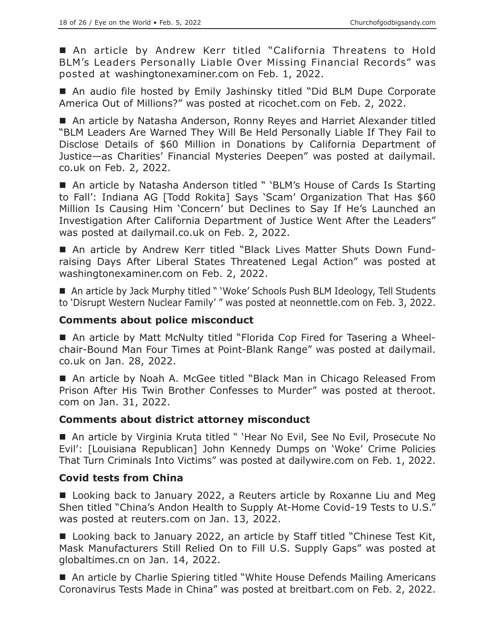An article by Andrew Kerr titled "California Threatens to Hold BLM's Leaders Personally Liable Over Missing Financial Records" was posted at washingtonexaminer.com on Feb. 1, 2022.

■ An audio file hosted by Emily Jashinsky titled "Did BLM Dupe Corporate America Out of Millions?" was posted at ricochet.com on Feb. 2, 2022.

■ An article by Natasha Anderson, Ronny Reyes and Harriet Alexander titled "BLM Leaders Are Warned They Will Be Held Personally Liable If They Fail to Disclose Details of \$60 Million in Donations by California Department of Justice—as Charities' Financial Mysteries Deepen" was posted at dailymail. co.uk on Feb. 2, 2022.

■ An article by Natasha Anderson titled " 'BLM's House of Cards Is Starting to Fall': Indiana AG [Todd Rokita] Says 'Scam' Organization That Has \$60 Million Is Causing Him 'Concern' but Declines to Say If He's Launched an Investigation After California Department of Justice Went After the Leaders" was posted at dailymail.co.uk on Feb. 2, 2022.

 An article by Andrew Kerr titled "Black Lives Matter Shuts Down Fundraising Days After Liberal States Threatened Legal Action" was posted at washingtonexaminer.com on Feb. 2, 2022.

■ An article by Jack Murphy titled " 'Woke' Schools Push BLM Ideology, Tell Students to 'Disrupt Western Nuclear Family' " was posted at neonnettle.com on Feb. 3, 2022.

## **Comments about police misconduct**

■ An article by Matt McNulty titled "Florida Cop Fired for Tasering a Wheelchair-Bound Man Four Times at Point-Blank Range" was posted at dailymail. co.uk on Jan. 28, 2022.

■ An article by Noah A. McGee titled "Black Man in Chicago Released From Prison After His Twin Brother Confesses to Murder" was posted at theroot. com on Jan. 31, 2022.

## **Comments about district attorney misconduct**

■ An article by Virginia Kruta titled " 'Hear No Evil, See No Evil, Prosecute No Evil': [Louisiana Republican] John Kennedy Dumps on 'Woke' Crime Policies That Turn Criminals Into Victims" was posted at dailywire.com on Feb. 1, 2022.

## **Covid tests from China**

■ Looking back to January 2022, a Reuters article by Roxanne Liu and Meg Shen titled "China's Andon Health to Supply At-Home Covid-19 Tests to U.S." was posted at reuters.com on Jan. 13, 2022.

■ Looking back to January 2022, an article by Staff titled "Chinese Test Kit, Mask Manufacturers Still Relied On to Fill U.S. Supply Gaps" was posted at globaltimes.cn on Jan. 14, 2022.

■ An article by Charlie Spiering titled "White House Defends Mailing Americans Coronavirus Tests Made in China" was posted at breitbart.com on Feb. 2, 2022.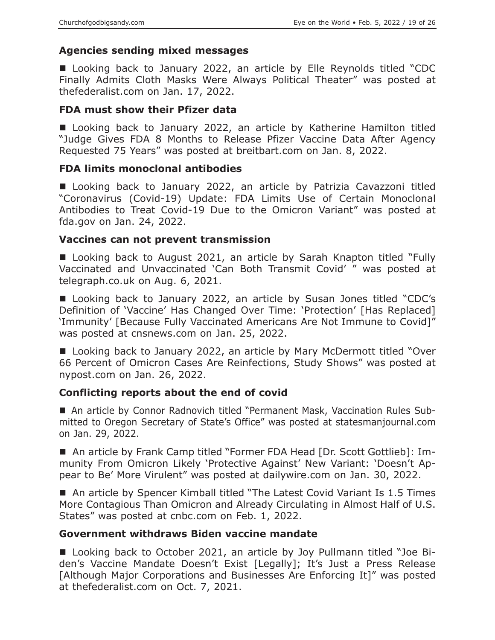## **Agencies sending mixed messages**

■ Looking back to January 2022, an article by Elle Reynolds titled "CDC Finally Admits Cloth Masks Were Always Political Theater" was posted at thefederalist.com on Jan. 17, 2022.

#### **FDA must show their Pfizer data**

■ Looking back to January 2022, an article by Katherine Hamilton titled "Judge Gives FDA 8 Months to Release Pfizer Vaccine Data After Agency Requested 75 Years" was posted at breitbart.com on Jan. 8, 2022.

#### **FDA limits monoclonal antibodies**

■ Looking back to January 2022, an article by Patrizia Cavazzoni titled "Coronavirus (Covid-19) Update: FDA Limits Use of Certain Monoclonal Antibodies to Treat Covid-19 Due to the Omicron Variant" was posted at fda.gov on Jan. 24, 2022.

#### **Vaccines can not prevent transmission**

■ Looking back to August 2021, an article by Sarah Knapton titled "Fully Vaccinated and Unvaccinated 'Can Both Transmit Covid' " was posted at telegraph.co.uk on Aug. 6, 2021.

■ Looking back to January 2022, an article by Susan Jones titled "CDC's Definition of 'Vaccine' Has Changed Over Time: 'Protection' [Has Replaced] 'Immunity' [Because Fully Vaccinated Americans Are Not Immune to Covid]" was posted at cnsnews.com on Jan. 25, 2022.

■ Looking back to January 2022, an article by Mary McDermott titled "Over 66 Percent of Omicron Cases Are Reinfections, Study Shows" was posted at nypost.com on Jan. 26, 2022.

## **Conflicting reports about the end of covid**

 An article by Connor Radnovich titled "Permanent Mask, Vaccination Rules Submitted to Oregon Secretary of State's Office" was posted at statesmanjournal.com on Jan. 29, 2022.

■ An article by Frank Camp titled "Former FDA Head [Dr. Scott Gottlieb]: Immunity From Omicron Likely 'Protective Against' New Variant: 'Doesn't Appear to Be' More Virulent" was posted at dailywire.com on Jan. 30, 2022.

■ An article by Spencer Kimball titled "The Latest Covid Variant Is 1.5 Times More Contagious Than Omicron and Already Circulating in Almost Half of U.S. States" was posted at cnbc.com on Feb. 1, 2022.

#### **Government withdraws Biden vaccine mandate**

■ Looking back to October 2021, an article by Joy Pullmann titled "Joe Biden's Vaccine Mandate Doesn't Exist [Legally]; It's Just a Press Release [Although Major Corporations and Businesses Are Enforcing It]" was posted at thefederalist.com on Oct. 7, 2021.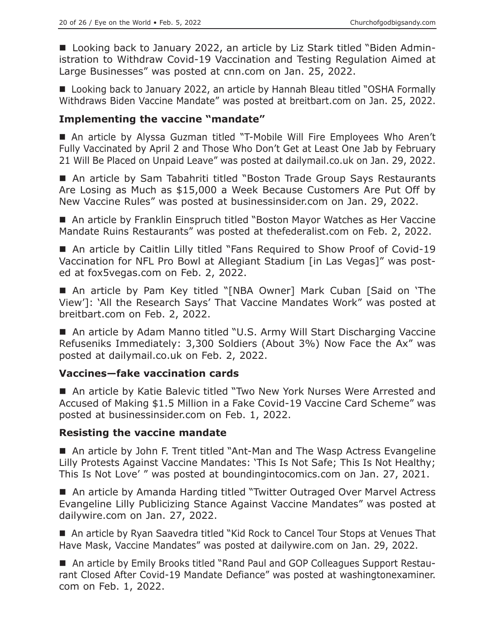■ Looking back to January 2022, an article by Liz Stark titled "Biden Administration to Withdraw Covid-19 Vaccination and Testing Regulation Aimed at Large Businesses" was posted at cnn.com on Jan. 25, 2022.

■ Looking back to January 2022, an article by Hannah Bleau titled "OSHA Formally Withdraws Biden Vaccine Mandate" was posted at breitbart.com on Jan. 25, 2022.

## **Implementing the vaccine "mandate"**

 An article by Alyssa Guzman titled "T-Mobile Will Fire Employees Who Aren't Fully Vaccinated by April 2 and Those Who Don't Get at Least One Jab by February 21 Will Be Placed on Unpaid Leave" was posted at dailymail.co.uk on Jan. 29, 2022.

■ An article by Sam Tabahriti titled "Boston Trade Group Says Restaurants Are Losing as Much as \$15,000 a Week Because Customers Are Put Off by New Vaccine Rules" was posted at businessinsider.com on Jan. 29, 2022.

■ An article by Franklin Einspruch titled "Boston Mayor Watches as Her Vaccine Mandate Ruins Restaurants" was posted at thefederalist.com on Feb. 2, 2022.

■ An article by Caitlin Lilly titled "Fans Required to Show Proof of Covid-19 Vaccination for NFL Pro Bowl at Allegiant Stadium [in Las Vegas]" was posted at fox5vegas.com on Feb. 2, 2022.

 An article by Pam Key titled "[NBA Owner] Mark Cuban [Said on 'The View']: 'All the Research Says' That Vaccine Mandates Work" was posted at breitbart.com on Feb. 2, 2022.

■ An article by Adam Manno titled "U.S. Army Will Start Discharging Vaccine Refuseniks Immediately: 3,300 Soldiers (About 3%) Now Face the Ax" was posted at dailymail.co.uk on Feb. 2, 2022.

## **Vaccines—fake vaccination cards**

■ An article by Katie Balevic titled "Two New York Nurses Were Arrested and Accused of Making \$1.5 Million in a Fake Covid-19 Vaccine Card Scheme" was posted at businessinsider.com on Feb. 1, 2022.

## **Resisting the vaccine mandate**

■ An article by John F. Trent titled "Ant-Man and The Wasp Actress Evangeline Lilly Protests Against Vaccine Mandates: 'This Is Not Safe; This Is Not Healthy; This Is Not Love' " was posted at boundingintocomics.com on Jan. 27, 2021.

■ An article by Amanda Harding titled "Twitter Outraged Over Marvel Actress Evangeline Lilly Publicizing Stance Against Vaccine Mandates" was posted at dailywire.com on Jan. 27, 2022.

■ An article by Ryan Saavedra titled "Kid Rock to Cancel Tour Stops at Venues That Have Mask, Vaccine Mandates" was posted at dailywire.com on Jan. 29, 2022.

■ An article by Emily Brooks titled "Rand Paul and GOP Colleagues Support Restaurant Closed After Covid-19 Mandate Defiance" was posted at washingtonexaminer. com on Feb. 1, 2022.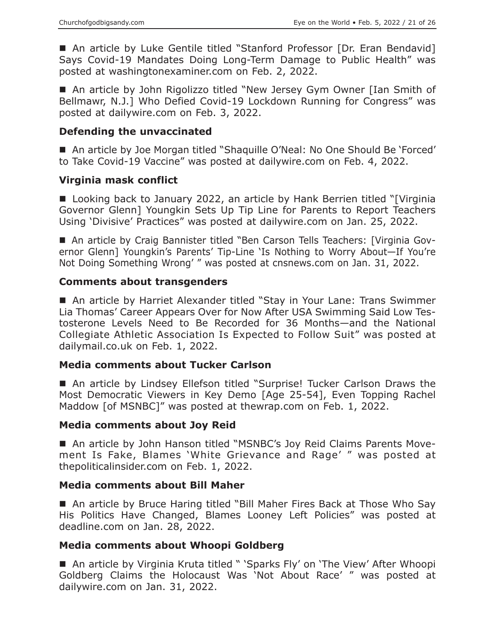■ An article by Luke Gentile titled "Stanford Professor [Dr. Eran Bendavid] Says Covid-19 Mandates Doing Long-Term Damage to Public Health" was posted at washingtonexaminer.com on Feb. 2, 2022.

■ An article by John Rigolizzo titled "New Jersey Gym Owner [Ian Smith of Bellmawr, N.J.] Who Defied Covid-19 Lockdown Running for Congress" was posted at dailywire.com on Feb. 3, 2022.

## **Defending the unvaccinated**

■ An article by Joe Morgan titled "Shaquille O'Neal: No One Should Be 'Forced' to Take Covid-19 Vaccine" was posted at dailywire.com on Feb. 4, 2022.

#### **Virginia mask conflict**

■ Looking back to January 2022, an article by Hank Berrien titled "[Virginia] Governor Glenn] Youngkin Sets Up Tip Line for Parents to Report Teachers Using 'Divisive' Practices" was posted at dailywire.com on Jan. 25, 2022.

 An article by Craig Bannister titled "Ben Carson Tells Teachers: [Virginia Governor Glenn] Youngkin's Parents' Tip-Line 'Is Nothing to Worry About—If You're Not Doing Something Wrong' " was posted at cnsnews.com on Jan. 31, 2022.

## **Comments about transgenders**

■ An article by Harriet Alexander titled "Stay in Your Lane: Trans Swimmer Lia Thomas' Career Appears Over for Now After USA Swimming Said Low Testosterone Levels Need to Be Recorded for 36 Months—and the National Collegiate Athletic Association Is Expected to Follow Suit" was posted at dailymail.co.uk on Feb. 1, 2022.

#### **Media comments about Tucker Carlson**

■ An article by Lindsey Ellefson titled "Surprise! Tucker Carlson Draws the Most Democratic Viewers in Key Demo [Age 25-54], Even Topping Rachel Maddow [of MSNBC]" was posted at thewrap.com on Feb. 1, 2022.

#### **Media comments about Joy Reid**

■ An article by John Hanson titled "MSNBC's Joy Reid Claims Parents Movement Is Fake, Blames 'White Grievance and Rage' " was posted at thepoliticalinsider.com on Feb. 1, 2022.

#### **Media comments about Bill Maher**

■ An article by Bruce Haring titled "Bill Maher Fires Back at Those Who Say His Politics Have Changed, Blames Looney Left Policies" was posted at deadline.com on Jan. 28, 2022.

#### **Media comments about Whoopi Goldberg**

■ An article by Virginia Kruta titled " 'Sparks Fly' on 'The View' After Whoopi Goldberg Claims the Holocaust Was 'Not About Race' " was posted at dailywire.com on Jan. 31, 2022.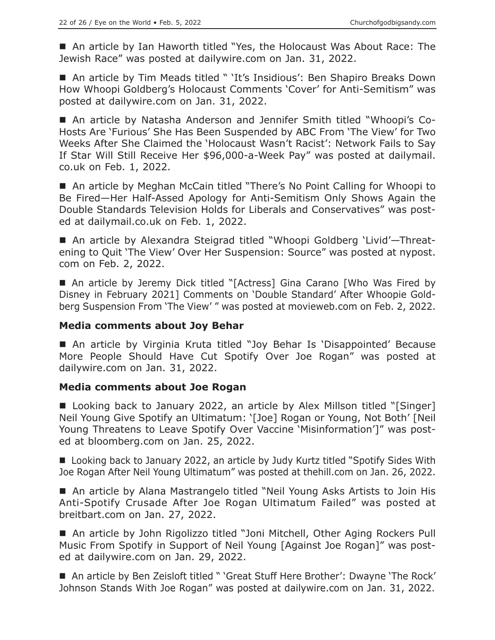An article by Ian Haworth titled "Yes, the Holocaust Was About Race: The Jewish Race" was posted at dailywire.com on Jan. 31, 2022.

■ An article by Tim Meads titled " 'It's Insidious': Ben Shapiro Breaks Down How Whoopi Goldberg's Holocaust Comments 'Cover' for Anti-Semitism" was posted at dailywire.com on Jan. 31, 2022.

 An article by Natasha Anderson and Jennifer Smith titled "Whoopi's Co-Hosts Are 'Furious' She Has Been Suspended by ABC From 'The View' for Two Weeks After She Claimed the 'Holocaust Wasn't Racist': Network Fails to Say If Star Will Still Receive Her \$96,000-a-Week Pay" was posted at dailymail. co.uk on Feb. 1, 2022.

■ An article by Meghan McCain titled "There's No Point Calling for Whoopi to Be Fired—Her Half-Assed Apology for Anti-Semitism Only Shows Again the Double Standards Television Holds for Liberals and Conservatives" was posted at dailymail.co.uk on Feb. 1, 2022.

■ An article by Alexandra Steigrad titled "Whoopi Goldberg 'Livid'—Threatening to Quit 'The View' Over Her Suspension: Source" was posted at nypost. com on Feb. 2, 2022.

■ An article by Jeremy Dick titled "[Actress] Gina Carano [Who Was Fired by Disney in February 2021] Comments on 'Double Standard' After Whoopie Goldberg Suspension From 'The View' " was posted at movieweb.com on Feb. 2, 2022.

#### **Media comments about Joy Behar**

■ An article by Virginia Kruta titled "Joy Behar Is 'Disappointed' Because More People Should Have Cut Spotify Over Joe Rogan" was posted at dailywire.com on Jan. 31, 2022.

#### **Media comments about Joe Rogan**

■ Looking back to January 2022, an article by Alex Millson titled "[Singer] Neil Young Give Spotify an Ultimatum: '[Joe] Rogan or Young, Not Both' [Neil Young Threatens to Leave Spotify Over Vaccine 'Misinformation']" was posted at bloomberg.com on Jan. 25, 2022.

■ Looking back to January 2022, an article by Judy Kurtz titled "Spotify Sides With Joe Rogan After Neil Young Ultimatum" was posted at thehill.com on Jan. 26, 2022.

 An article by Alana Mastrangelo titled "Neil Young Asks Artists to Join His Anti-Spotify Crusade After Joe Rogan Ultimatum Failed" was posted at breitbart.com on Jan. 27, 2022.

 An article by John Rigolizzo titled "Joni Mitchell, Other Aging Rockers Pull Music From Spotify in Support of Neil Young [Against Joe Rogan]" was posted at dailywire.com on Jan. 29, 2022.

■ An article by Ben Zeisloft titled " 'Great Stuff Here Brother': Dwayne 'The Rock' Johnson Stands With Joe Rogan" was posted at dailywire.com on Jan. 31, 2022.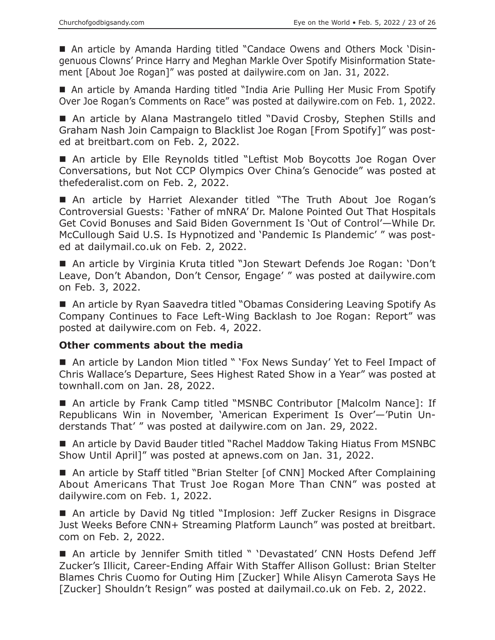An article by Amanda Harding titled "Candace Owens and Others Mock 'Disingenuous Clowns' Prince Harry and Meghan Markle Over Spotify Misinformation Statement [About Joe Rogan]" was posted at dailywire.com on Jan. 31, 2022.

 An article by Amanda Harding titled "India Arie Pulling Her Music From Spotify Over Joe Rogan's Comments on Race" was posted at dailywire.com on Feb. 1, 2022.

■ An article by Alana Mastrangelo titled "David Crosby, Stephen Stills and Graham Nash Join Campaign to Blacklist Joe Rogan [From Spotify]" was posted at breitbart.com on Feb. 2, 2022.

■ An article by Elle Reynolds titled "Leftist Mob Boycotts Joe Rogan Over Conversations, but Not CCP Olympics Over China's Genocide" was posted at thefederalist.com on Feb. 2, 2022.

 An article by Harriet Alexander titled "The Truth About Joe Rogan's Controversial Guests: 'Father of mNRA' Dr. Malone Pointed Out That Hospitals Get Covid Bonuses and Said Biden Government Is 'Out of Control'—While Dr. McCullough Said U.S. Is Hypnotized and 'Pandemic Is Plandemic' " was posted at dailymail.co.uk on Feb. 2, 2022.

■ An article by Virginia Kruta titled "Jon Stewart Defends Joe Rogan: 'Don't Leave, Don't Abandon, Don't Censor, Engage' " was posted at dailywire.com on Feb. 3, 2022.

■ An article by Ryan Saavedra titled "Obamas Considering Leaving Spotify As Company Continues to Face Left-Wing Backlash to Joe Rogan: Report" was posted at dailywire.com on Feb. 4, 2022.

#### **Other comments about the media**

■ An article by Landon Mion titled " 'Fox News Sunday' Yet to Feel Impact of Chris Wallace's Departure, Sees Highest Rated Show in a Year" was posted at townhall.com on Jan. 28, 2022.

■ An article by Frank Camp titled "MSNBC Contributor [Malcolm Nance]: If Republicans Win in November, 'American Experiment Is Over'—'Putin Understands That' " was posted at dailywire.com on Jan. 29, 2022.

■ An article by David Bauder titled "Rachel Maddow Taking Hiatus From MSNBC Show Until April]" was posted at apnews.com on Jan. 31, 2022.

■ An article by Staff titled "Brian Stelter [of CNN] Mocked After Complaining About Americans That Trust Joe Rogan More Than CNN" was posted at dailywire.com on Feb. 1, 2022.

■ An article by David Ng titled "Implosion: Jeff Zucker Resigns in Disgrace Just Weeks Before CNN+ Streaming Platform Launch" was posted at breitbart. com on Feb. 2, 2022.

■ An article by Jennifer Smith titled " 'Devastated' CNN Hosts Defend Jeff Zucker's Illicit, Career-Ending Affair With Staffer Allison Gollust: Brian Stelter Blames Chris Cuomo for Outing Him [Zucker] While Alisyn Camerota Says He [Zucker] Shouldn't Resign" was posted at dailymail.co.uk on Feb. 2, 2022.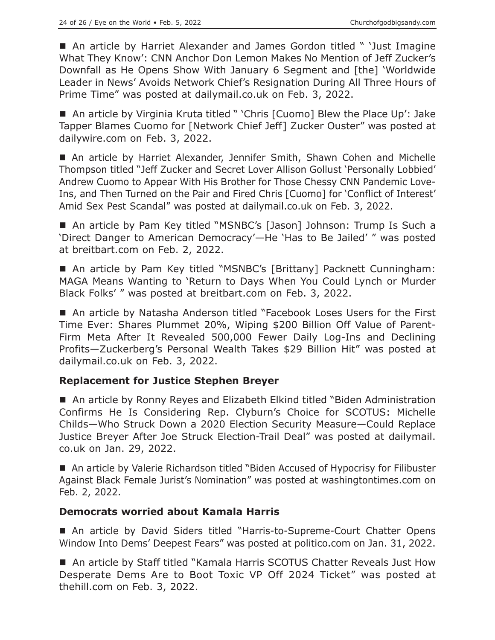■ An article by Harriet Alexander and James Gordon titled " 'Just Imagine What They Know': CNN Anchor Don Lemon Makes No Mention of Jeff Zucker's Downfall as He Opens Show With January 6 Segment and [the] 'Worldwide Leader in News' Avoids Network Chief's Resignation During All Three Hours of Prime Time" was posted at dailymail.co.uk on Feb. 3, 2022.

■ An article by Virginia Kruta titled " 'Chris [Cuomo] Blew the Place Up': Jake Tapper Blames Cuomo for [Network Chief Jeff] Zucker Ouster" was posted at dailywire.com on Feb. 3, 2022.

■ An article by Harriet Alexander, Jennifer Smith, Shawn Cohen and Michelle Thompson titled "Jeff Zucker and Secret Lover Allison Gollust 'Personally Lobbied' Andrew Cuomo to Appear With His Brother for Those Chessy CNN Pandemic Love-Ins, and Then Turned on the Pair and Fired Chris [Cuomo] for 'Conflict of Interest' Amid Sex Pest Scandal" was posted at dailymail.co.uk on Feb. 3, 2022.

■ An article by Pam Key titled "MSNBC's [Jason] Johnson: Trump Is Such a 'Direct Danger to American Democracy'—He 'Has to Be Jailed' " was posted at breitbart.com on Feb. 2, 2022.

■ An article by Pam Key titled "MSNBC's [Brittany] Packnett Cunningham: MAGA Means Wanting to 'Return to Days When You Could Lynch or Murder Black Folks' " was posted at breitbart.com on Feb. 3, 2022.

■ An article by Natasha Anderson titled "Facebook Loses Users for the First Time Ever: Shares Plummet 20%, Wiping \$200 Billion Off Value of Parent-Firm Meta After It Revealed 500,000 Fewer Daily Log-Ins and Declining Profits—Zuckerberg's Personal Wealth Takes \$29 Billion Hit" was posted at dailymail.co.uk on Feb. 3, 2022.

## **Replacement for Justice Stephen Breyer**

■ An article by Ronny Reyes and Elizabeth Elkind titled "Biden Administration Confirms He Is Considering Rep. Clyburn's Choice for SCOTUS: Michelle Childs—Who Struck Down a 2020 Election Security Measure—Could Replace Justice Breyer After Joe Struck Election-Trail Deal" was posted at dailymail. co.uk on Jan. 29, 2022.

■ An article by Valerie Richardson titled "Biden Accused of Hypocrisy for Filibuster Against Black Female Jurist's Nomination" was posted at washingtontimes.com on Feb. 2, 2022.

## **Democrats worried about Kamala Harris**

■ An article by David Siders titled "Harris-to-Supreme-Court Chatter Opens Window Into Dems' Deepest Fears" was posted at politico.com on Jan. 31, 2022.

■ An article by Staff titled "Kamala Harris SCOTUS Chatter Reveals Just How Desperate Dems Are to Boot Toxic VP Off 2024 Ticket" was posted at thehill.com on Feb. 3, 2022.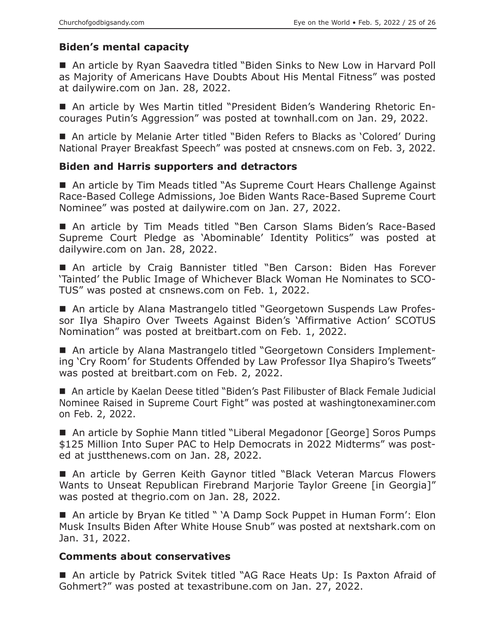# **Biden's mental capacity**

■ An article by Ryan Saavedra titled "Biden Sinks to New Low in Harvard Poll as Majority of Americans Have Doubts About His Mental Fitness" was posted at dailywire.com on Jan. 28, 2022.

 An article by Wes Martin titled "President Biden's Wandering Rhetoric Encourages Putin's Aggression" was posted at townhall.com on Jan. 29, 2022.

■ An article by Melanie Arter titled "Biden Refers to Blacks as 'Colored' During National Prayer Breakfast Speech" was posted at cnsnews.com on Feb. 3, 2022.

## **Biden and Harris supporters and detractors**

■ An article by Tim Meads titled "As Supreme Court Hears Challenge Against Race-Based College Admissions, Joe Biden Wants Race-Based Supreme Court Nominee" was posted at dailywire.com on Jan. 27, 2022.

 An article by Tim Meads titled "Ben Carson Slams Biden's Race-Based Supreme Court Pledge as 'Abominable' Identity Politics" was posted at dailywire.com on Jan. 28, 2022.

 An article by Craig Bannister titled "Ben Carson: Biden Has Forever 'Tainted' the Public Image of Whichever Black Woman He Nominates to SCO-TUS" was posted at cnsnews.com on Feb. 1, 2022.

■ An article by Alana Mastrangelo titled "Georgetown Suspends Law Professor Ilya Shapiro Over Tweets Against Biden's 'Affirmative Action' SCOTUS Nomination" was posted at breitbart.com on Feb. 1, 2022.

■ An article by Alana Mastrangelo titled "Georgetown Considers Implementing 'Cry Room' for Students Offended by Law Professor Ilya Shapiro's Tweets" was posted at breitbart.com on Feb. 2, 2022.

■ An article by Kaelan Deese titled "Biden's Past Filibuster of Black Female Judicial Nominee Raised in Supreme Court Fight" was posted at washingtonexaminer.com on Feb. 2, 2022.

■ An article by Sophie Mann titled "Liberal Megadonor [George] Soros Pumps \$125 Million Into Super PAC to Help Democrats in 2022 Midterms" was posted at justthenews.com on Jan. 28, 2022.

■ An article by Gerren Keith Gaynor titled "Black Veteran Marcus Flowers Wants to Unseat Republican Firebrand Marjorie Taylor Greene [in Georgia]" was posted at thegrio.com on Jan. 28, 2022.

■ An article by Bryan Ke titled " 'A Damp Sock Puppet in Human Form': Elon Musk Insults Biden After White House Snub" was posted at nextshark.com on Jan. 31, 2022.

# **Comments about conservatives**

■ An article by Patrick Svitek titled "AG Race Heats Up: Is Paxton Afraid of Gohmert?" was posted at texastribune.com on Jan. 27, 2022.